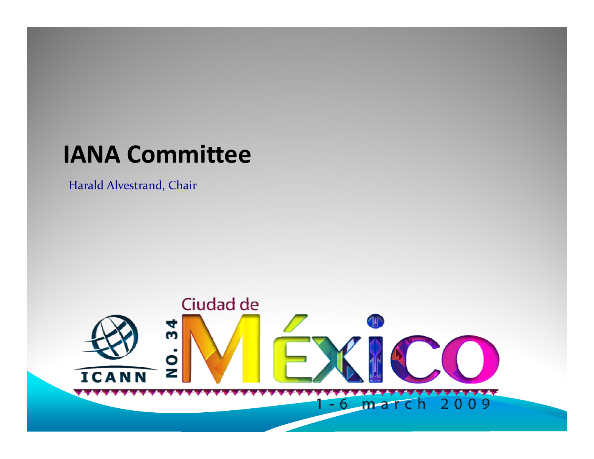#### **IANA Committee**

Harald Alvestrand, Chair

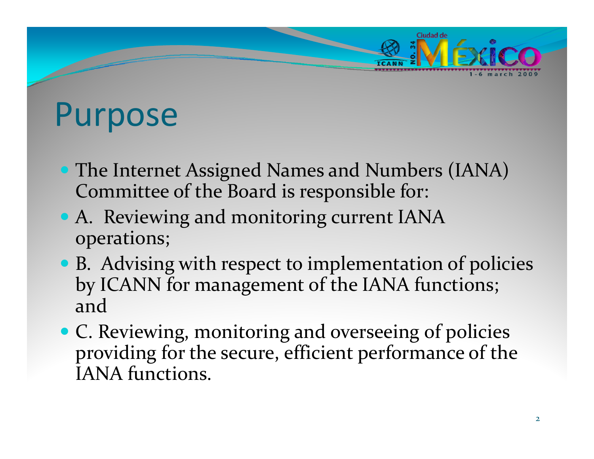

#### Purpose

- The Internet Assigned Names and Numbers (IANA) Committee of the Board is responsible for:
- A. Reviewing and monitoring current IANA operations;
- B. Advising with respect to implementation of policies by ICANN for managemen<sup>t</sup> of the IANA functions; and
- C. Reviewing, monitoring and overseeing of policies providing for the secure, efficient performance of the IANA functions.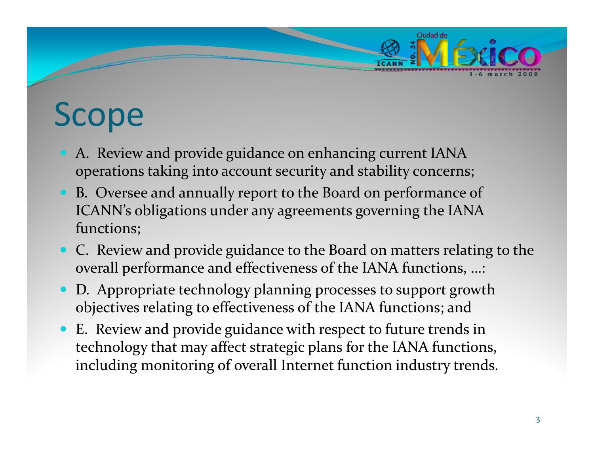# Scope

- y A. Review and provide guidance on enhancing current IANA operations taking into account security and stability concerns;
- y B. Oversee and annually repor<sup>t</sup> to the Board on performance of ICANN's obligations under any agreements governing the IANA functions;
- C. Review and provide guidance to the Board on matters relating to the overall performance and effectiveness of the IANA functions, …:
- D. Appropriate technology planning processes to support growth objectives relating to effectiveness of the IANA functions; and
- y E. Review and provide guidance with respec<sup>t</sup> to future trends in technology that may affect strategic plans for the IANA functions, including monitoring of overall Internet function industry trends.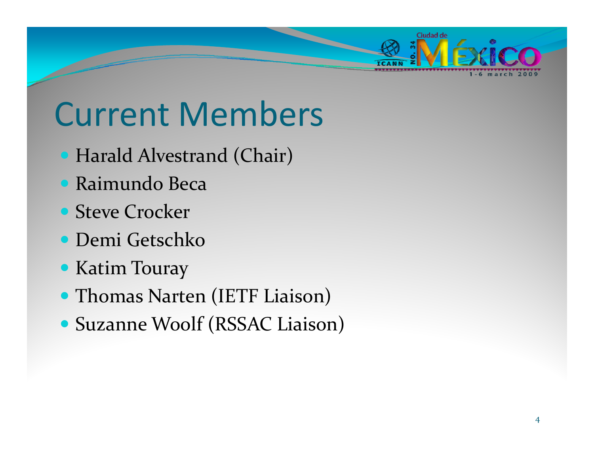

### Current Members

- Harald Alvestrand (Chair)
- **Raimundo Beca**
- Steve Crocker
- **Demi Getschko**
- Katim Touray
- Thomas Narten (IETF Liaison)
- **Suzanne Woolf (RSSAC Liaison)**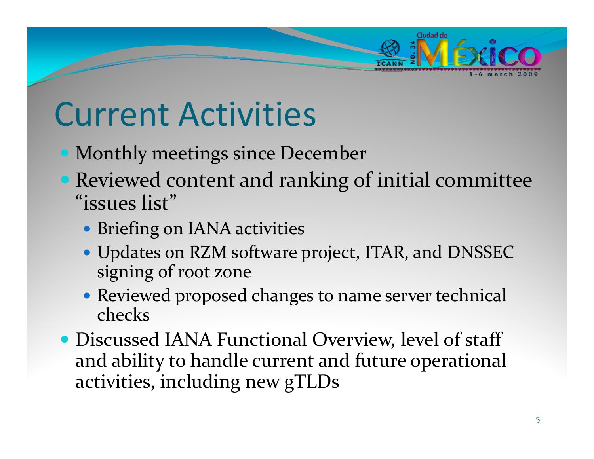

## Current Activities

- Monthly meetings since December
- Reviewed content and ranking of initial committee "issues list"
	- **Briefing on IANA activities**
	- Updates on RZM software project, ITAR, and DNSSEC signing of root zone
	- Reviewed proposed changes to name server technical checks
- Discussed IANA Functional Overview, level of staff and ability to handle current and future operational activities, including new gTLDs